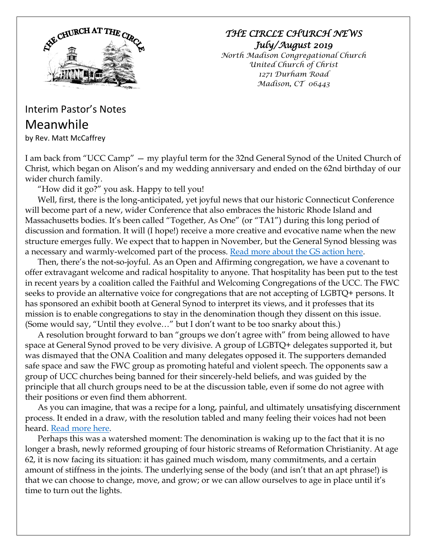

## *THE CIRCLE CHURCH NEWS July/August 2019*

*North Madison Congregational Church United Church of Christ 1271 Durham Road Madison, CT 06443*

## Interim Pastor's Notes Meanwhile

by Rev. Matt McCaffrey

I am back from "UCC Camp" — my playful term for the 32nd General Synod of the United Church of Christ, which began on Alison's and my wedding anniversary and ended on the 62nd birthday of our wider church family.

"How did it go?" you ask. Happy to tell you!

Well, first, there is the long-anticipated, yet joyful news that our historic Connecticut Conference will become part of a new, wider Conference that also embraces the historic Rhode Island and Massachusetts bodies. It's been called "Together, As One" (or "TA1") during this long period of discussion and formation. It will (I hope!) receive a more creative and evocative name when the new structure emerges fully. We expect that to happen in November, but the General Synod blessing was a necessary and warmly-welcomed part of the process. [Read more about the GS action here.](https://www.ucc.org/news_synod_oks_replacing_3_southern_new_england_conferences_with_1_06242019)

Then, there's the not-so-joyful. As an Open and Affirming congregation, we have a covenant to offer extravagant welcome and radical hospitality to anyone. That hospitality has been put to the test in recent years by a coalition called the Faithful and Welcoming Congregations of the UCC. The FWC seeks to provide an alternative voice for congregations that are not accepting of LGBTQ+ persons. It has sponsored an exhibit booth at General Synod to interpret its views, and it professes that its mission is to enable congregations to stay in the denomination though they dissent on this issue. (Some would say, "Until they evolve…" but I don't want to be too snarky about this.)

A resolution brought forward to ban "groups we don't agree with" from being allowed to have space at General Synod proved to be very divisive. A group of LGBTQ+ delegates supported it, but was dismayed that the ONA Coalition and many delegates opposed it. The supporters demanded safe space and saw the FWC group as promoting hateful and violent speech. The opponents saw a group of UCC churches being banned for their sincerely-held beliefs, and was guided by the principle that all church groups need to be at the discussion table, even if some do not agree with their positions or even find them abhorrent.

As you can imagine, that was a recipe for a long, painful, and ultimately unsatisfying discernment process. It ended in a draw, with the resolution tabled and many feeling their voices had not been heard. [Read more here.](https://www.ucc.org/news_synod_after_emotional_debates_ucc_synod_tables_move_to_exclude_group_from_exhibit_hall_06252019)

Perhaps this was a watershed moment: The denomination is waking up to the fact that it is no longer a brash, newly reformed grouping of four historic streams of Reformation Christianity. At age 62, it is now facing its situation: it has gained much wisdom, many commitments, and a certain amount of stiffness in the joints. The underlying sense of the body (and isn't that an apt phrase!) is that we can choose to change, move, and grow; or we can allow ourselves to age in place until it's time to turn out the lights.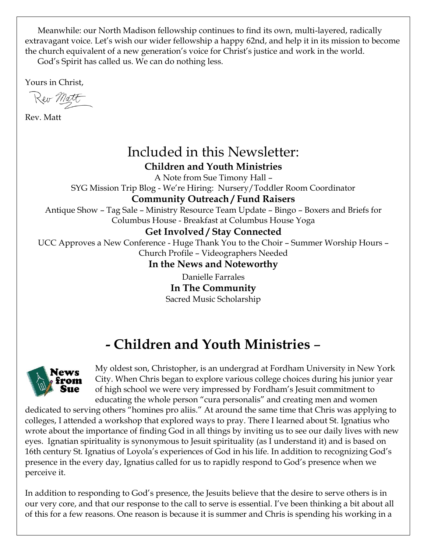Meanwhile: our North Madison fellowship continues to find its own, multi-layered, radically extravagant voice. Let's wish our wider fellowship a happy 62nd, and help it in its mission to become the church equivalent of a new generation's voice for Christ's justice and work in the world.

God's Spirit has called us. We can do nothing less.

Yours in Christ,

Rev Matt

Rev. Matt

## Included in this Newsletter: **Children and Youth Ministries**

A Note from Sue Timony Hall – SYG Mission Trip Blog - We're Hiring: Nursery/Toddler Room Coordinator

## **Community Outreach / Fund Raisers**

Antique Show – Tag Sale – Ministry Resource Team Update – Bingo – Boxers and Briefs for Columbus House - Breakfast at Columbus House Yoga

## **Get Involved / Stay Connected**

UCC Approves a New Conference - Huge Thank You to the Choir – Summer Worship Hours – Church Profile – Videographers Needed

## **In the News and Noteworthy**

Danielle Farrales **In The Community** Sacred Music Scholarship

# **- Children and Youth Ministries** –



My oldest son, Christopher, is an undergrad at Fordham University in New York City. When Chris began to explore various college choices during his junior year of high school we were very impressed by Fordham's Jesuit commitment to educating the whole person "cura personalis" and creating men and women

dedicated to serving others "homines pro aliis." At around the same time that Chris was applying to colleges, I attended a workshop that explored ways to pray. There I learned about St. Ignatius who wrote about the importance of finding God in all things by inviting us to see our daily lives with new eyes. Ignatian spirituality is synonymous to Jesuit spirituality (as I understand it) and is based on 16th century St. Ignatius of Loyola's experiences of God in his life. In addition to recognizing God's presence in the every day, Ignatius called for us to rapidly respond to God's presence when we perceive it.

In addition to responding to God's presence, the Jesuits believe that the desire to serve others is in our very core, and that our response to the call to serve is essential. I've been thinking a bit about all of this for a few reasons. One reason is because it is summer and Chris is spending his working in a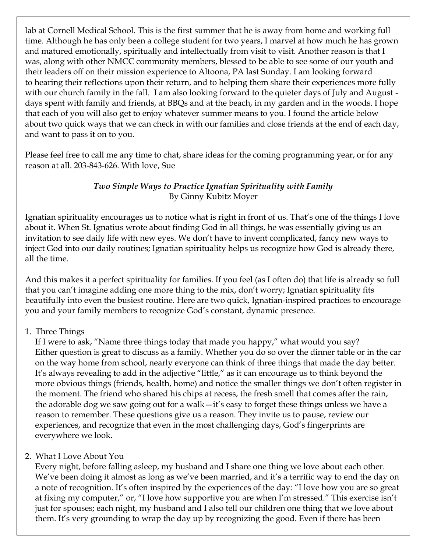lab at Cornell Medical School. This is the first summer that he is away from home and working full time. Although he has only been a college student for two years, I marvel at how much he has grown and matured emotionally, spiritually and intellectually from visit to visit. Another reason is that I was, along with other NMCC community members, blessed to be able to see some of our youth and their leaders off on their mission experience to Altoona, PA last Sunday. I am looking forward to hearing their reflections upon their return, and to helping them share their experiences more fully with our church family in the fall. I am also looking forward to the quieter days of July and August days spent with family and friends, at BBQs and at the beach, in my garden and in the woods. I hope that each of you will also get to enjoy whatever summer means to you. I found the article below about two quick ways that we can check in with our families and close friends at the end of each day, and want to pass it on to you.

Please feel free to call me any time to chat, share ideas for the coming programming year, or for any reason at all. 203-843-626. With love, Sue

#### *Two Simple Ways to Practice Ignatian Spirituality with Family* By Ginny Kubitz Moyer

Ignatian spirituality encourages us to notice what is right in front of us. That's one of the things I love about it. When St. Ignatius wrote about finding God in all things, he was essentially giving us an invitation to see daily life with new eyes. We don't have to invent complicated, fancy new ways to inject God into our daily routines; Ignatian spirituality helps us recognize how God is already there, all the time.

And this makes it a perfect spirituality for families. If you feel (as I often do) that life is already so full that you can't imagine adding one more thing to the mix, don't worry; Ignatian spirituality fits beautifully into even the busiest routine. Here are two quick, Ignatian-inspired practices to encourage you and your family members to recognize God's constant, dynamic presence.

#### 1. Three Things

If I were to ask, "Name three things today that made you happy," what would you say? Either question is great to discuss as a family. Whether you do so over the dinner table or in the car on the way home from school, nearly everyone can think of three things that made the day better. It's always revealing to add in the adjective "little," as it can encourage us to think beyond the more obvious things (friends, health, home) and notice the smaller things we don't often register in the moment. The friend who shared his chips at recess, the fresh smell that comes after the rain, the adorable dog we saw going out for a walk—it's easy to forget these things unless we have a reason to remember. These questions give us a reason. They invite us to pause, review our experiences, and recognize that even in the most challenging days, God's fingerprints are everywhere we look.

#### 2. What I Love About You

Every night, before falling asleep, my husband and I share one thing we love about each other. We've been doing it almost as long as we've been married, and it's a terrific way to end the day on a note of recognition. It's often inspired by the experiences of the day: "I love how you are so great at fixing my computer," or, "I love how supportive you are when I'm stressed." This exercise isn't just for spouses; each night, my husband and I also tell our children one thing that we love about them. It's very grounding to wrap the day up by recognizing the good. Even if there has been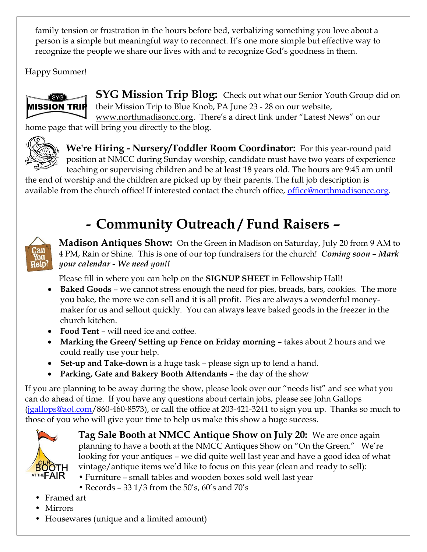family tension or frustration in the hours before bed, verbalizing something you love about a person is a simple but meaningful way to reconnect. It's one more simple but effective way to recognize the people we share our lives with and to recognize God's goodness in them.

Happy Summer!



**SYG Mission Trip Blog:** Check out what our Senior Youth Group did on their Mission Trip to Blue Knob, PA June 23 - 28 on our website, [www.northmadisoncc.org.](http://www.northmadisoncc.org/) There's a direct link under "Latest News" on our

home page that will bring you directly to the blog.



**We're Hiring - Nursery/Toddler Room Coordinator:** For this year-round paid position at NMCC during Sunday worship, candidate must have two years of experience teaching or supervising children and be at least 18 years old. The hours are 9:45 am until

the end of worship and the children are picked up by their parents. The full job description is available from the church office! If interested contact the church office, <u>office@northmadisoncc.org</u>.

# **- Community Outreach / Fund Raisers –**



**Madison Antiques Show:** On the Green in Madison on Saturday, July 20 from 9 AM to 4 PM, Rain or Shine. This is one of our top fundraisers for the church! *Coming soon – Mark your calendar - We need you!!*

Please fill in where you can help on the **SIGNUP SHEET** in Fellowship Hall!

- **Baked Goods** we cannot stress enough the need for pies, breads, bars, cookies. The more you bake, the more we can sell and it is all profit. Pies are always a wonderful moneymaker for us and sellout quickly. You can always leave baked goods in the freezer in the church kitchen.
- **Food Tent** will need ice and coffee.
- **Marking the Green/ Setting up Fence on Friday morning –** takes about 2 hours and we could really use your help.
- **Set-up and Take-down** is a huge task please sign up to lend a hand.
- **Parking, Gate and Bakery Booth Attendants**  the day of the show

If you are planning to be away during the show, please look over our "needs list" and see what you can do ahead of time. If you have any questions about certain jobs, please see John Gallops  $(jgallops@aol.com/860-460-8573)$  $(jgallops@aol.com/860-460-8573)$ , or call the office at 203-421-3241 to sign you up. Thanks so much to those of you who will give your time to help us make this show a huge success.



**Tag Sale Booth at NMCC Antique Show on July 20:** We are once again planning to have a booth at the NMCC Antiques Show on "On the Green." We're looking for your antiques – we did quite well last year and have a good idea of what vintage/antique items we'd like to focus on this year (clean and ready to sell):

- Furniture small tables and wooden boxes sold well last year
- Records 33  $1/3$  from the 50's, 60's and 70's
- Framed art
- Mirrors
- Housewares (unique and a limited amount)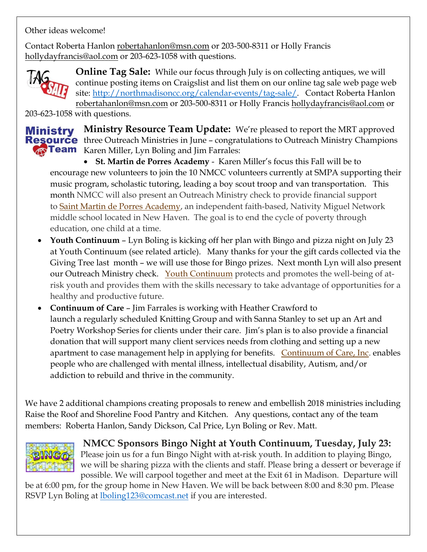Other ideas welcome!

Contact Roberta Hanlon [robertahanlon@msn.com](mailto:robertahanlon@msn.com) or 203-500-8311 or Holly Francis [hollydayfrancis@aol.com](mailto:hollydayfrancis@aol.com) or 203-623-1058 with questions.



**Online Tag Sale:** While our focus through July is on collecting antiques, we will continue posting items on Craigslist and list them on our online tag sale web page web site: [http://northmadisoncc.org/calendar-events/tag-sale/.](http://northmadisoncc.org/calendar-events/tag-sale/) Contact Roberta Hanlon [robertahanlon@msn.com](mailto:robertahanlon@msn.com) or 203-500-8311 or Holly Francis [hollydayfrancis@aol.com](mailto:hollydayfrancis@aol.com) or

203-623-1058 with questions.

# Ministry

**Ministry Resource Team Update:** We're pleased to report the MRT approved **Resource** three Outreach Ministries in June – congratulations to Outreach Ministry Champions **Team** Karen Miller, Lyn Boling and Jim Farrales:

• **St. Martin de Porres Academy** - Karen Miller's focus this Fall will be to encourage new volunteers to join the 10 NMCC volunteers currently at SMPA supporting their music program, scholastic tutoring, leading a boy scout troop and van transportation. This month NMCC will also present an Outreach Ministry check to provide financial support to [Saint Martin de Porres Academy,](http://www.saintmartinacademy.org/) an independent faith-based, Nativity Miguel Network middle school located in New Haven. The goal is to end the cycle of poverty through education, one child at a time.

- **Youth Continuum** Lyn Boling is kicking off her plan with Bingo and pizza night on July 23 at Youth Continuum (see related article). Many thanks for your the gift cards collected via the Giving Tree last month – we will use those for Bingo prizes. Next month Lyn will also present our Outreach Ministry check. [Youth Continuum](http://www.youthcontinuum.org/) protects and promotes the well-being of atrisk youth and provides them with the skills necessary to take advantage of opportunities for a healthy and productive future.
- **Continuum of Care**  Jim Farrales is working with Heather Crawford to launch a regularly scheduled Knitting Group and with Sanna Stanley to set up an Art and Poetry Workshop Series for clients under their care. Jim's plan is to also provide a financial donation that will support many client services needs from clothing and setting up a new apartment to case management help in applying for benefits. [Continuum of Care, Inc.](http://www.continuumct.com/) enables people who are challenged with mental illness, intellectual disability, Autism, and/or addiction to rebuild and thrive in the community.

We have 2 additional champions creating proposals to renew and embellish 2018 ministries including Raise the Roof and Shoreline Food Pantry and Kitchen. Any questions, contact any of the team members: Roberta Hanlon, Sandy Dickson, Cal Price, Lyn Boling or Rev. Matt.



**NMCC Sponsors Bingo Night at Youth Continuum, Tuesday, July 23:**  Please join us for a fun Bingo Night with at-risk youth. In addition to playing Bingo, we will be sharing pizza with the clients and staff. Please bring a dessert or beverage if possible. We will carpool together and meet at the Exit 61 in Madison. Departure will

be at 6:00 pm, for the group home in New Haven. We will be back between 8:00 and 8:30 pm. Please RSVP Lyn Boling at [lboling123@comcast.net](mailto:lboling123@comcast.net) if you are interested.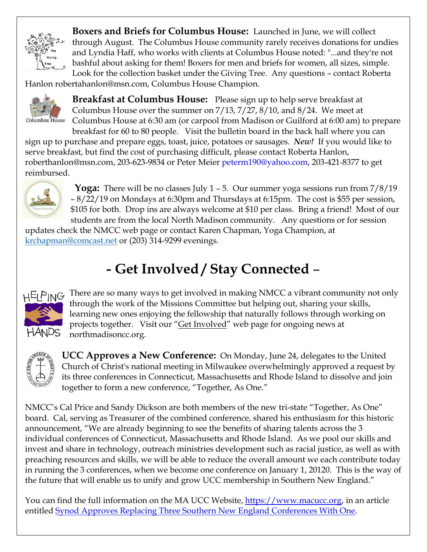

**Boxers and Briefs for Columbus House:** Launched in June, we will collect through August. The Columbus House community rarely receives donations for undies and Lyndia Haff, who works with clients at Columbus House noted: "...and they're not bashful about asking for them! Boxers for men and briefs for women, all sizes, simple. Look for the collection basket under the Giving Tree. Any questions – contact Roberta

Hanlon robertahanlon@msn.com, Columbus House Champion.



**Breakfast at Columbus House:** Please sign up to help serve breakfast at Columbus House over the summer on 7/13, 7/27, 8/10, and 8/24. We meet at Columbus House at 6:30 am (or carpool from Madison or Guilford at 6:00 am) to prepare breakfast for 60 to 80 people. Visit the bulletin board in the back hall where you can

sign up to purchase and prepare eggs, toast, juice, potatoes or sausages. *New!* If you would like to serve breakfast, but find the cost of purchasing difficult, please contact Roberta Hanlon, [roberthanlon@msn.com,](mailto:roberthanlon@msn.com) 203-623-9834 or Peter Meier [peterm190@yahoo.com,](mailto:peterm190@yahoo.com) 203-421-8377 to get reimbursed.



 **Yoga:** There will be no classes July 1 – 5. Our summer yoga sessions run from 7/8/19 – 8/22/19 on Mondays at 6:30pm and Thursdays at 6:15pm. The cost is \$55 per session, \$105 for both. Drop ins are always welcome at \$10 per class. Bring a friend! Most of our students are from the local North Madison community. Any questions or for session

updates check the NMCC web page or contact Karen Chapman, Yoga Champion, at [krchapman@comcast.net](mailto:krchapman@comcast.net) or (203) 314-9299 evenings.

# **- Get Involved / Stay Connected** –



HELPING There are so many ways to get involved in making NMCC a vibrant community not only through the work of the Missions Committee but helping out, sharing your skills, learning new ones enjoying the fellowship that naturally follows through working on projects together. Visit our "[Get Involved](http://northmadisoncc.org/get-involved/)" web page for ongoing news at northmadisoncc.org.



**UCC Approves a New Conference:** On Monday, June 24, delegates to the United Church of Christ's national meeting in Milwaukee overwhelmingly approved a request by its three conferences in Connecticut, Massachusetts and Rhode Island to dissolve and join together to form a new conference, "Together, As One."

NMCC's Cal Price and Sandy Dickson are both members of the new tri-state "Together, As One" board. Cal, serving as Treasurer of the combined conference, shared his enthusiasm for this historic announcement, "We are already beginning to see the benefits of sharing talents across the 3 individual conferences of Connecticut, Massachusetts and Rhode Island. As we pool our skills and invest and share in technology, outreach ministries development such as racial justice, as well as with preaching resources and skills, we will be able to reduce the overall amount we each contribute today in running the 3 conferences, when we become one conference on January 1, 20120. This is the way of the future that will enable us to unify and grow UCC membership in Southern New England."

You can find the full information on the MA UCC Website, [https://www.macucc.org,](https://www.macucc.org/) in an article entitled [Synod Approves Replacing Three Southern New England Conferences With One.](https://www.macucc.org/newsdetail/synod-approves-new-conference-for-southern-new-england-12838959)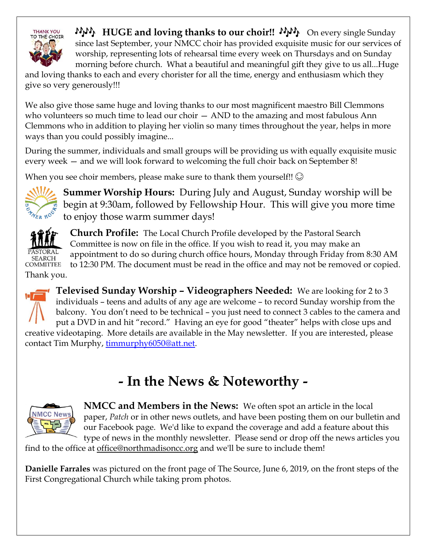

*H* $\mu$ <sub>**,**</sub> HUGE and loving thanks to our choir!!  $\mu$  $\mu$ <sub>)</sub> On every single Sunday since last September, your NMCC choir has provided exquisite music for our services of worship, representing lots of rehearsal time every week on Thursdays and on Sunday morning before church. What a beautiful and meaningful gift they give to us all...Huge

and loving thanks to each and every chorister for all the time, energy and enthusiasm which they give so very generously!!!

We also give those same huge and loving thanks to our most magnificent maestro Bill Clemmons who volunteers so much time to lead our choir  $-$  AND to the amazing and most fabulous Ann Clemmons who in addition to playing her violin so many times throughout the year, helps in more ways than you could possibly imagine...

During the summer, individuals and small groups will be providing us with equally exquisite music every week — and we will look forward to welcoming the full choir back on September 8!

When you see choir members, please make sure to thank them yourself!!  $\circledcirc$ 



**Summer Worship Hours:** During July and August, Sunday worship will be begin at 9:30am, followed by Fellowship Hour. This will give you more time to enjoy those warm summer days!



**Church Profile:** The Local Church Profile developed by the Pastoral Search Committee is now on file in the office. If you wish to read it, you may make an appointment to do so during church office hours, Monday through Friday from 8:30 AM to 12:30 PM. The document must be read in the office and may not be removed or copied.

Thank you.



**Televised Sunday Worship – Videographers Needed:** We are looking for 2 to 3 individuals – teens and adults of any age are welcome – to record Sunday worship from the balcony. You don't need to be technical – you just need to connect 3 cables to the camera and put a DVD in and hit "record." Having an eye for good "theater" helps with close ups and creative videotaping. More details are available in the May newsletter. If you are interested, please contact Tim Murphy, [timmurphy6050@att.net.](mailto:timmurphy6050@att.net)

# **- In the News & Noteworthy -**



**NMCC and Members in the News:** We often spot an article in the local paper, *Patch* or in other news outlets, and have been posting them on our bulletin and our Facebook page. We'd like to expand the coverage and add a feature about this type of news in the monthly newsletter. Please send or drop off the news articles you

find to the office at [office@northmadisoncc.org](mailto:office@northmadisoncc.org) and we'll be sure to include them!

**Danielle Farrales** was pictured on the front page of The Source, June 6, 2019, on the front steps of the First Congregational Church while taking prom photos.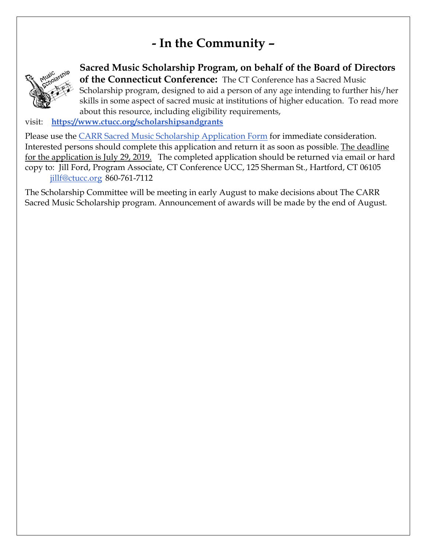## **- In the Community –**



**Sacred Music Scholarship Program, on behalf of the Board of Directors of the Connecticut Conference:** The CT Conference has a Sacred Music Scholarship program, designed to aid a person of any age intending to further his/her skills in some aspect of sacred music at institutions of higher education. To read more about this resource, including eligibility requirements,

visit: **[https://www.ctucc.org/scholarshipsandgrants](https://macucc-email.brtapp.com/!B57Cdg-lbjLxHHzvnbtmdQTYqwE6CrFMtwe4NBtTjt2dMkNjRxjQDiHzvNGUyasG0)**

Please use the [CARR Sacred Music Scholarship Application Form](https://macucc-email.brtapp.com/!wCd14wuJ7mG3q5dN+oio4TwFL87SLCfxS4wcvBJxOOtTyIwy8JIWFcGsoxMSIsMmg) for immediate consideration. Interested persons should complete this application and return it as soon as possible. The deadline for the application is July 29, 2019. The completed application should be returned via email or hard copy to: Jill Ford, Program Associate, CT Conference UCC, 125 Sherman St., Hartford, CT 06105 [jillf@ctucc.org](mailto:jillf@ctucc.org) 860-761-7112

The Scholarship Committee will be meeting in early August to make decisions about The CARR Sacred Music Scholarship program. Announcement of awards will be made by the end of August.